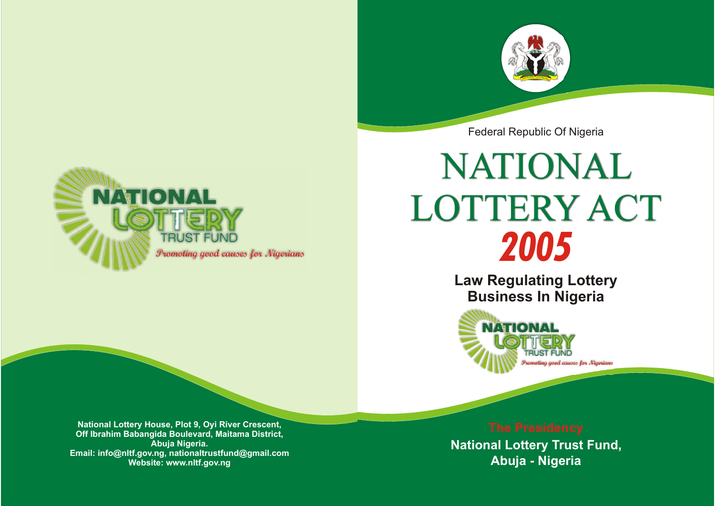

Federal Republic Of Nigeria



# *2005* NATIONAL LOTTERY ACT

**Law Regulating Lottery Business In Nigeria**



**Abuja - Nigeria National Lottery Trust Fund,**

**National Lottery House, Plot 9, Oyi River Crescent, Off Ibrahim Babangida Boulevard, Maitama District, Abuja Nigeria. Email: info@nltf.gov.ng, nationaltrustfund@gmail.com Website: www.nltf.gov.ng**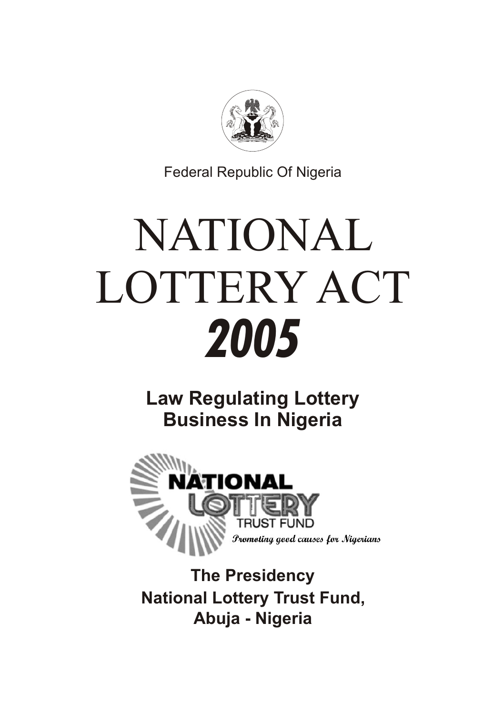

Federal Republic Of Nigeria

# NATIONAL LOTTERY ACT *2005*

**Law Regulating Lottery Business In Nigeria**



**National Lottery Trust Fund, The Presidency Abuja - Nigeria**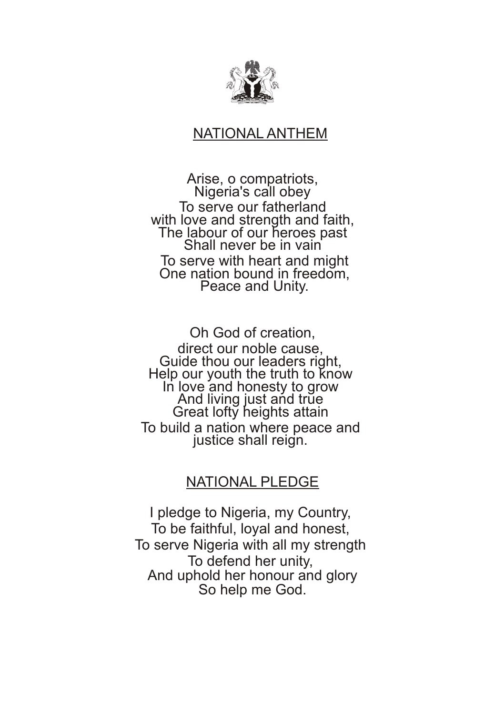

## NATIONAL ANTHEM

Arise, o compatriots, Nigeria's call obey To serve our fatherland with love and strength and faith, The labour of our heroes past Shall never be in vain To serve with heart and might One nation bound in freedom, Peace and Unity.

Oh God of creation, direct our noble cause, Guide thou our leaders right, Help our youth the truth to know In love and honesty to grow And living just and true Great lofty heights attain To build a nation where peace and justice shall reign.

### NATIONAL PLEDGE

I pledge to Nigeria, my Country, To be faithful, loyal and honest, To serve Nigeria with all my strength To defend her unity, And uphold her honour and glory So help me God.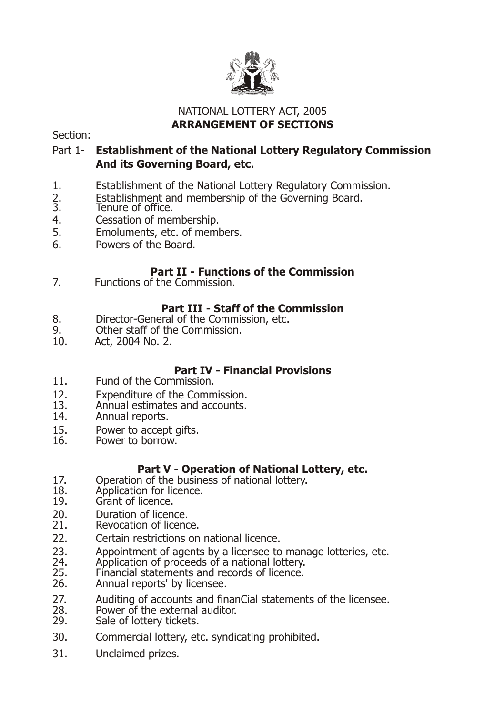

#### NATIONAL LOTTERY ACT, 2005 **ARRANGEMENT OF SECTIONS**

Section:

#### Part 1- **Establishment of the National Lottery Regulatory Commission And its Governing Board, etc.**

- 1. Establishment of the National Lottery Regulatory Commission.<br>2. Establishment and membership of the Governing Board.
- 2. Establishment and membership of the Governing Board.<br>3. Tenure of office.
- 3. Tenure of office.<br>4. Cessation of mer
- 4. Cessation of membership.<br>5. Fmoluments, etc. of meml
- 5. Emoluments, etc. of members.<br>6. Powers of the Board.
- Powers of the Board.

#### **Part II - Functions of the Commission**

7. Functions of the Commission.

#### **Part III - Staff of the Commission**

- 8. Director-General of the Commission, etc.<br>9. Other staff of the Commission.
- 9. Other staff of the Commission.<br>10 Act 2004 No 2
- 10. Act, 2004 No. 2.

#### **Part IV - Financial Provisions**

- 11. Fund of the Commission.
- 12. Expenditure of the Commission.<br>13. Annual estimates and accounts.
- 13. Annual estimates and accounts.<br>14 Annual reports.
- Annual reports.
- 15. Power to accept gifts.<br>16 Power to borrow
- Power to borrow.

#### **Part V - Operation of National Lottery, etc.**

- 17. Operation of the business of national lottery.<br>18. Application for licence.
- 18. Application for licence.<br>19. Grant of licence
- Grant of licence.
- 20. Duration of licence.<br>21. Revocation of licenc
- Revocation of licence.
- 22. Certain restrictions on national licence.
- 23. Appointment of agents by a licensee to manage lotteries, etc.<br>24. Application of proceeds of a national lottery.
- 24. Application of proceeds of a national lottery.<br>25. Financial statements and records of licence.
- 25. Financial statements and records of licence.<br>26. Annual reports' by licensee.
- Annual reports' by licensee.
- 27. Auditing of accounts and finanCial statements of the licensee.<br>28. Power of the external auditor.
- 28. Power of the external auditor.<br>29. Sale of lottery tickets.
- Sale of lottery tickets.
- 30. Commercial lottery, etc. syndicating prohibited.
- 31. Unclaimed prizes.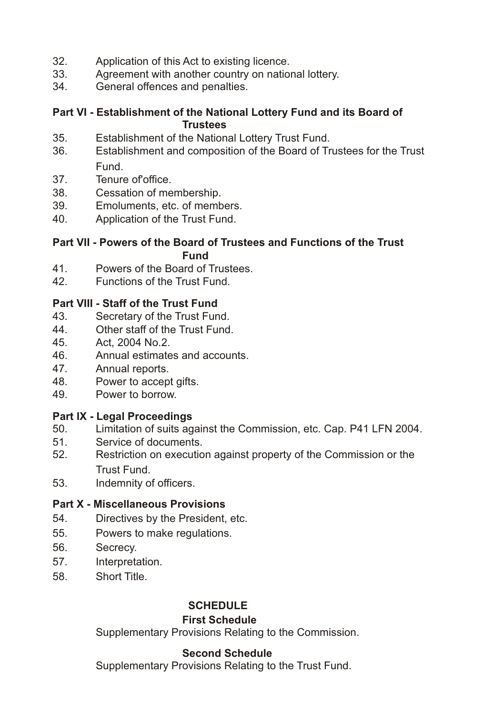- 32. Application of this Act to existing licence.<br>33. Agreement with another country on natio
- 33. Agreement with another country on national lottery.<br>34. General offences and penalties
- General offences and penalties.

#### **Part VI - Establishment of the National Lottery Fund and its Board of Trustees**

- 35. Establishment of the National Lottery Trust Fund.
- 36. Establishment and composition of the Board of Trustees for the Trust Fund.
- 37. Tenure of office.<br>38. Cessation of me
- Cessation of membership.
- 39. Emoluments, etc. of members.<br>40 Application of the Trust Fund
- 40. Application of the Trust Fund.

#### **Part VII - Powers of the Board of Trustees and Functions of the Trust Fund**

- 41. Powers of the Board of Trustees.
- 42. Functions of the Trust Fund.

#### **Part VIII - Staff of the Trust Fund**

- 43. Secretary of the Trust Fund.
- 44. Other staff of the Trust Fund.
- 45. Act, 2004 No.2.
- 46. Annual estimates and accounts.
- 47. Annual reports.
- 48. Power to accept gifts.
- 49. Power to borrow.

#### **Part IX - Legal Proceedings**

- 50. Limitation of suits against the Commission, etc. Cap. P41 LFN 2004.
- 51. Service of documents.<br>52 Restriction on execution
- Restriction on execution against property of the Commission or the Trust Fund.
- 53. Indemnity of officers.

#### **Part X - Miscellaneous Provisions**

- 54. Directives by the President, etc.
- 55. Powers to make regulations.
- 56. Secrecy.
- 57. Interpretation.
- 58. Short Title.

#### **SCHEDULE**

#### **First Schedule**

Supplementary Provisions Relating to the Commission.

#### **Second Schedule**

Supplementary Provisions Relating to the Trust Fund.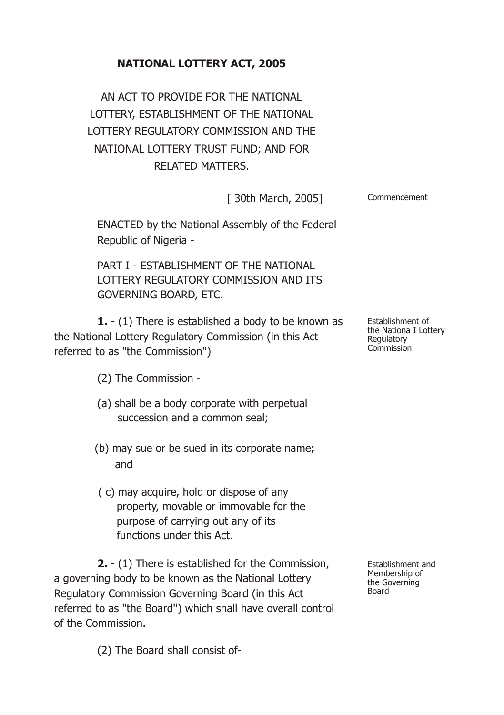### **NATIONAL LOTTERY ACT, 2005**

AN ACT TO PROVIDE FOR THE NATIONAL LOTTERY, ESTABLISHMENT OF THE NATIONAL LOTTERY REGULATORY COMMISSION AND THE NATIONAL LOTTERY TRUST FUND; AND FOR RELATED MATTERS.

|  |  | [ 30th March, 2005] |  | Commencement |
|--|--|---------------------|--|--------------|
|--|--|---------------------|--|--------------|

ENACTED by the National Assembly of the Federal Republic of Nigeria -

PART I - ESTABLISHMENT OF THE NATIONAL LOTTERY REGULATORY COMMISSION AND ITS GOVERNING BOARD, ETC.

**1.** - (1) There is established a body to be known as the National Lottery Regulatory Commission (in this Act referred to as "the Commission'')

(2) The Commission -

- (a) shall be a body corporate with perpetual succession and a common seal;
- (b) may sue or be sued in its corporate name; and
- ( c) may acquire, hold or dispose of any property, movable or immovable for the purpose of carrying out any of its functions under this Act.

**2.** - (1) There is established for the Commission, a governing body to be known as the National Lottery Regulatory Commission Governing Board (in this Act referred to as "the Board'') which shall have overall control of the Commission.

Establishment and Membership of the Governing Board

(2) The Board shall consist of-

Establishment of the Nationa I Lottery Regulatory Commission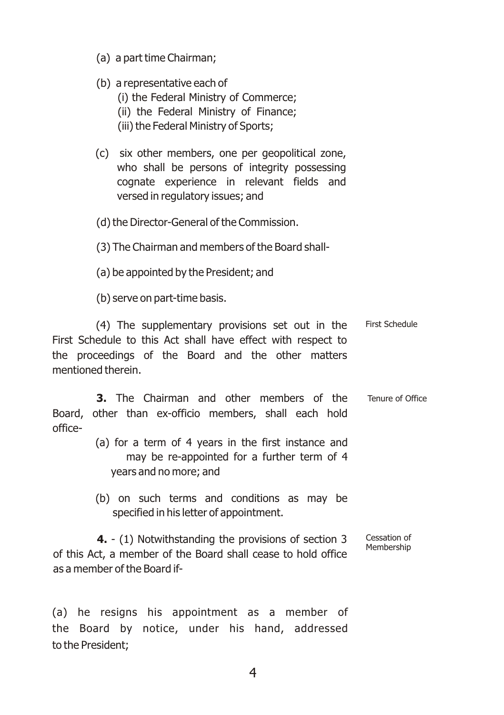- (a) a part time Chairman;
- (b) a representative each of
	- (i) the Federal Ministry of Commerce;
	- (ii) the Federal Ministry of Finance;
	- (iii) the Federal Ministry of Sports;
- (c) six other members, one per geopolitical zone, who shall be persons of integrity possessing cognate experience in relevant fields and versed in regulatory issues; and
- (d) the Director-General of the Commission.
- (3) The Chairman and members of the Board shall-
- (a) be appointed by the President; and

(b) serve on part-time basis.

(4) The supplementary provisions set out in the First Schedule to this Act shall have effect with respect to the proceedings of the Board and the other matters mentioned therein. First Schedule

**3.** The Chairman and other members of the Board, other than ex-officio members, shall each hold office- Tenure of Office

- (a) for a term of 4 years in the first instance and may be re-appointed for a further term of 4 years and no more; and
- (b) on such terms and conditions as may be specified in his letter of appointment.

**4.** - (1) Notwithstanding the provisions of section 3 of this Act, a member of the Board shall cease to hold office as a member of the Board if- Cessation of Membership

(a) he resigns his appointment as a member of the Board by notice, under his hand, addressed to the President;

4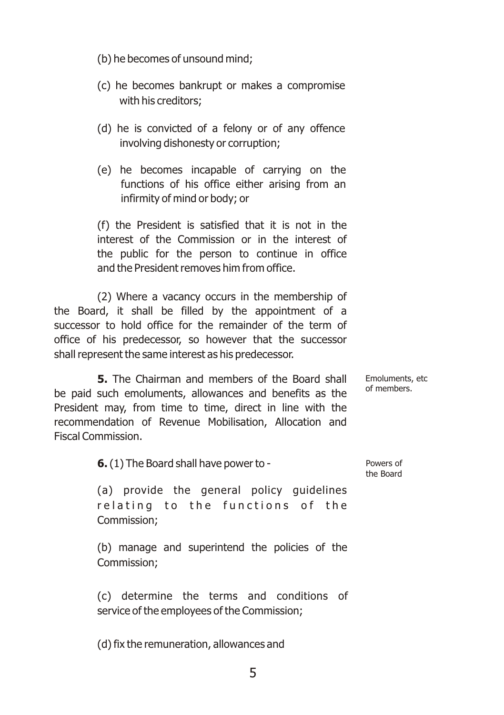- (b) he becomes of unsound mind;
- (c) he becomes bankrupt or makes a compromise with his creditors;
- (d) he is convicted of a felony or of any offence involving dishonesty or corruption;
- (e) he becomes incapable of carrying on the functions of his office either arising from an infirmity of mind or body; or

(f) the President is satisfied that it is not in the interest of the Commission or in the interest of the public for the person to continue in office and the President removes him from office.

(2) Where a vacancy occurs in the membership of the Board, it shall be filled by the appointment of a successor to hold office for the remainder of the term of office of his predecessor, so however that the successor shall represent the same interest as his predecessor.

**5.** The Chairman and members of the Board shall be paid such emoluments, allowances and benefits as the President may, from time to time, direct in line with the recommendation of Revenue Mobilisation, Allocation and Fiscal Commission. Emoluments, etc of members.

**6.**(1) The Board shall have power to -

Powers of the Board

(a) provide the general policy guidelines relating to the functions of the Commission;

(b) manage and superintend the policies of the Commission;

(c) determine the terms and conditions of service of the employees of the Commission;

(d) fix the remuneration, allowances and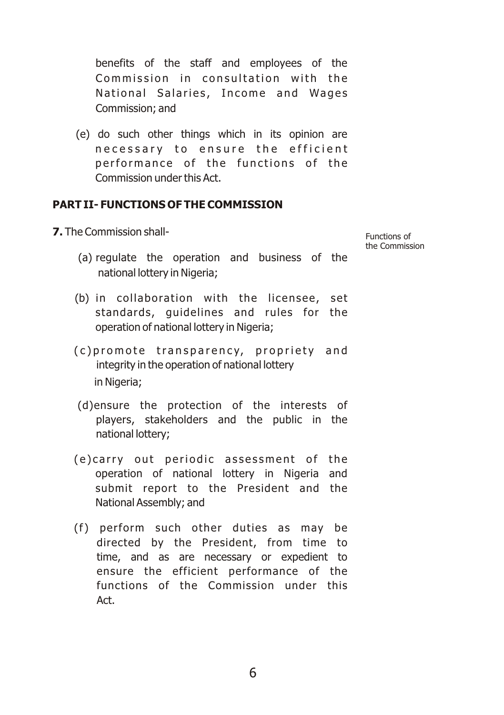benefits of the staff and employees of the Commission in consultation with the National Salaries, Income and Wages Commission; and

(e) do such other things which in its opinion are necessary to ensure the efficient performance of the functions of the Commission under this Act.

#### **PART II- FUNCTIONS OF THE COMMISSION**

- **7.** The Commission shall-
	- (a) regulate the operation and business of the national lottery in Nigeria;
	- $(b)$  in collaboration with the licensee, set standards, guidelines and rules for the operation of national lottery in Nigeria;
	- (c) promote transparency, propriety and integrity in the operation of national lottery in Nigeria;
	- (d)ensure the protection of the interests of players, stakeholders and the public in the national lottery;
	- (e) carry out periodic assessment of the operation of national lottery in Nigeria and submit report to the President and the National Assembly; and
	- (f) perform such other duties as may be directed by the President, from time to time, and as are necessary or expedient to ensure the efficient performance of the functions of the Commission under this Act.

Functions of the Commission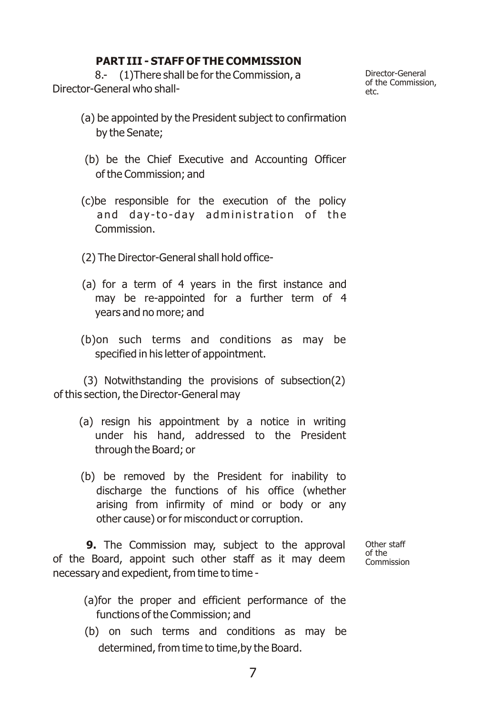#### **PART III - STAFF OF THE COMMISSION**

 8.- (1)There shall be for the Commission, a Director-General who shallDirector-General of the Commission, etc.

- (a) be appointed by the President subject to confirmation by the Senate;
- (b) be the Chief Executive and Accounting Officer of the Commission; and
- (c)be responsible for the execution of the policy and day-to-day administration of the Commission.
- (2) The Director-General shall hold office-
- (a) for a term of 4 years in the first instance and may be re-appointed for a further term of 4 years and no more; and
- (b)on such terms and conditions as may be specified in his letter of appointment.

(3) Notwithstanding the provisions of subsection(2) of this section, the Director-General may

- (a) resign his appointment by a notice in writing under his hand, addressed to the President through the Board; or
- (b) be removed by the President for inability to discharge the functions of his office (whether arising from infirmity of mind or body or any other cause) or for misconduct or corruption.

**9.** The Commission may, subject to the approval of the Board, appoint such other staff as it may deem necessary and expedient, from time to time -

Other staff of the Commission

- (a)for the proper and efficient performance of the functions of the Commission; and
- (b) on such terms and conditions as may be determined, from time to time,by the Board.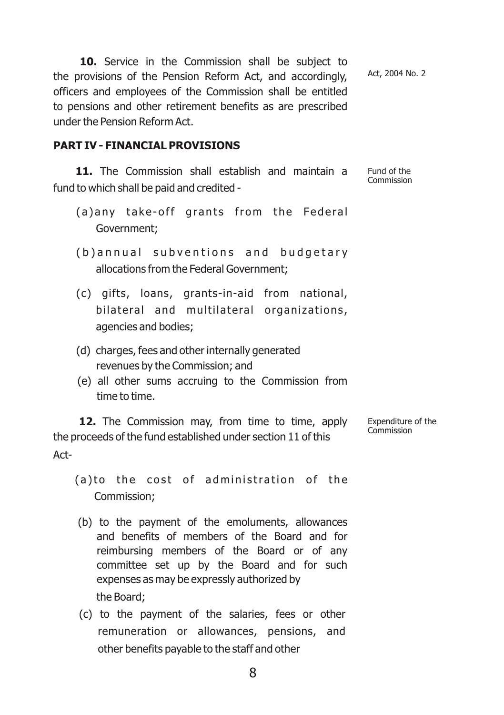**10.** Service in the Commission shall be subject to the provisions of the Pension Reform Act, and accordingly, officers and employees of the Commission shall be entitled to pensions and other retirement benefits as are prescribed under the Pension Reform Act. Act, 2004 No. 2

#### **PART IV - FINANCIAL PROVISIONS**

**11.** The Commission shall establish and maintain a fund to which shall be paid and credited - Fund of the Commission

- (a) any take-off grants from the Federal Government;
- (b) annual subventions and budgetary allocations from the Federal Government;
- (c) gifts, loans, grants-in-aid from national, bilateral and multilateral organizations, agencies and bodies;
- (d) charges, fees and other internally generated revenues by the Commission; and
- (e) all other sums accruing to the Commission from time to time.

12. The Commission may, from time to time, apply the proceeds of the fund established under section 11 of this Act- Expenditure of the Commission

(a)to the cost of administration of the Commission;

- (b) to the payment of the emoluments, allowances and benefits of members of the Board and for reimbursing members of the Board or of any committee set up by the Board and for such expenses as may be expressly authorized by the Board;
- (c) to the payment of the salaries, fees or other remuneration or allowances, pensions, and other benefits payable to the staff and other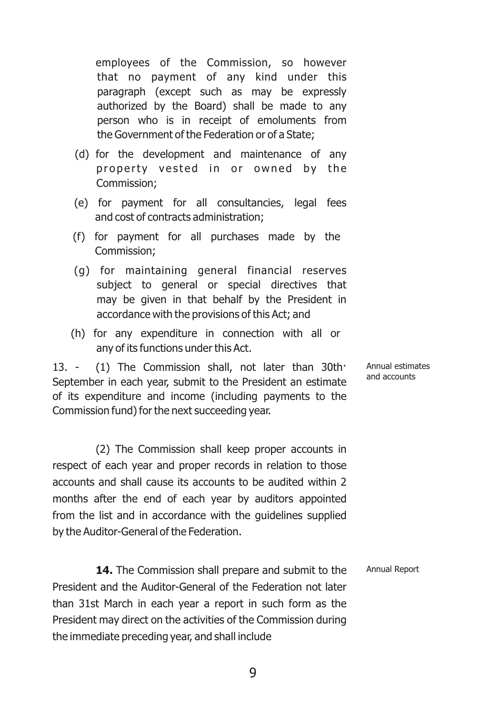employees of the Commission, so however that no payment of any kind under this paragraph (except such as may be expressly authorized by the Board) shall be made to any person who is in receipt of emoluments from the Government of the Federation or of a State;

- (d) for the development and maintenance of any property vested in or owned by the Commission;
- (e) for payment for all consultancies, legal fees and cost of contracts administration;
- (f) for payment for all purchases made by the Commission;
- (g) for maintaining general financial reserves subject to general or special directives that may be given in that behalf by the President in accordance with the provisions of this Act; and
- (h) for any expenditure in connection with all or any of its functions under this Act.

13. - (1) The Commission shall, not later than 30th· September in each year, submit to the President an estimate of its expenditure and income (including payments to the Commission fund) for the next succeeding year.

(2) The Commission shall keep proper accounts in respect of each year and proper records in relation to those accounts and shall cause its accounts to be audited within 2 months after the end of each year by auditors appointed from the list and in accordance with the guidelines supplied by the Auditor-General of the Federation.

14. The Commission shall prepare and submit to the President and the Auditor-General of the Federation not later than 31st March in each year a report in such form as the President may direct on the activities of the Commission during the immediate preceding year, and shall include Annual Report

Annual estimates and accounts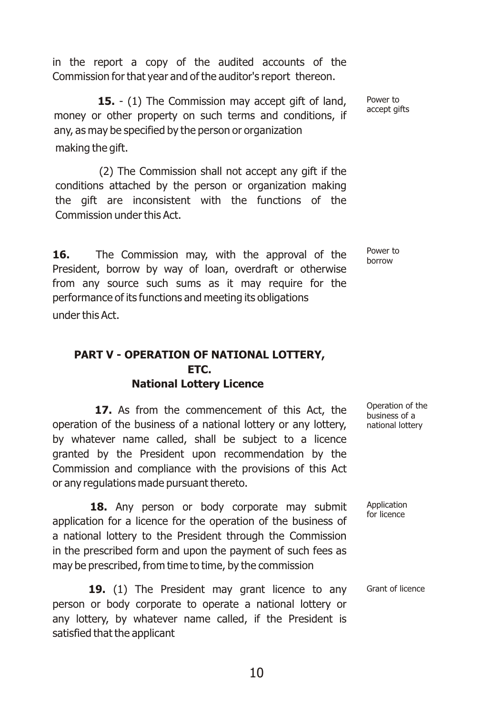in the report a copy of the audited accounts of the Commission for that year and of the auditor's report thereon.

**15.** - (1) The Commission may accept gift of land, money or other property on such terms and conditions, if any, as may be specified by the person or organization making the gift.

(2) The Commission shall not accept any gift if the conditions attached by the person or organization making the gift are inconsistent with the functions of the Commission under this Act.

16. The Commission may, with the approval of the President, borrow by way of loan, overdraft or otherwise from any source such sums as it may require for the performance of its functions and meeting its obligations under this Act.

#### **PART V - OPERATION OF NATIONAL LOTTERY, ETC. National Lottery Licence**

**17.** As from the commencement of this Act, the operation of the business of a national lottery or any lottery, by whatever name called, shall be subject to a licence granted by the President upon recommendation by the Commission and compliance with the provisions of this Act or any regulations made pursuant thereto.

18. Any person or body corporate may submit application for a licence for the operation of the business of a national lottery to the President through the Commission in the prescribed form and upon the payment of such fees as may be prescribed, from time to time, by the commission

19. (1) The President may grant licence to any person or body corporate to operate a national lottery or any lottery, by whatever name called, if the President is satisfied that the applicant

Power to accept gifts

Power to borrow

Operation of the business of a national lottery

Application for licence

Grant of licence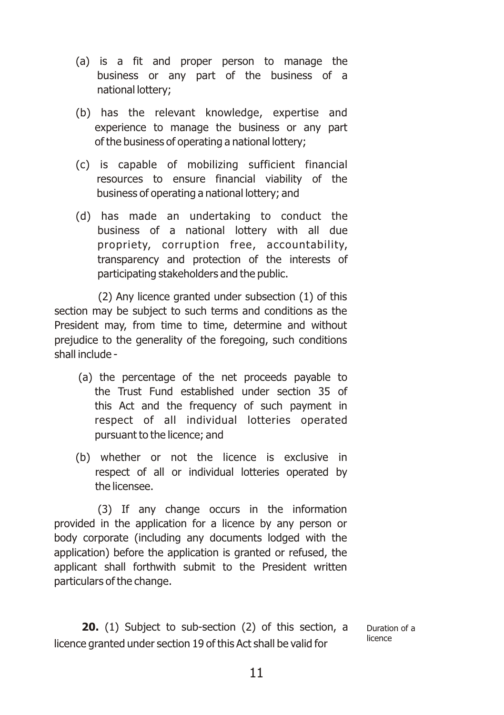- (a) is a fit and proper person to manage the business or any part of the business of a national lottery;
- (b) has the relevant knowledge, expertise and experience to manage the business or any part of the business of operating a national lottery;
- (c) is capable of mobilizing sufficient financial resources to ensure financial viability of the business of operating a national lottery; and
- (d) has made an undertaking to conduct the business of a national lottery with all due propriety, corruption free, accountability, transparency and protection of the interests of participating stakeholders and the public.

(2) Any licence granted under subsection (1) of this section may be subject to such terms and conditions as the President may, from time to time, determine and without prejudice to the generality of the foregoing, such conditions shall include -

- (a) the percentage of the net proceeds payable to the Trust Fund established under section 35 of this Act and the frequency of such payment in respect of all individual lotteries operated pursuant to the licence; and
- (b) whether or not the licence is exclusive in respect of all or individual lotteries operated by the licensee.

(3) If any change occurs in the information provided in the application for a licence by any person or body corporate (including any documents lodged with the application) before the application is granted or refused, the applicant shall forthwith submit to the President written particulars of the change.

**20.** (1) Subject to sub-section (2) of this section, a licence granted under section 19 of this Act shall be valid for Duration of a licence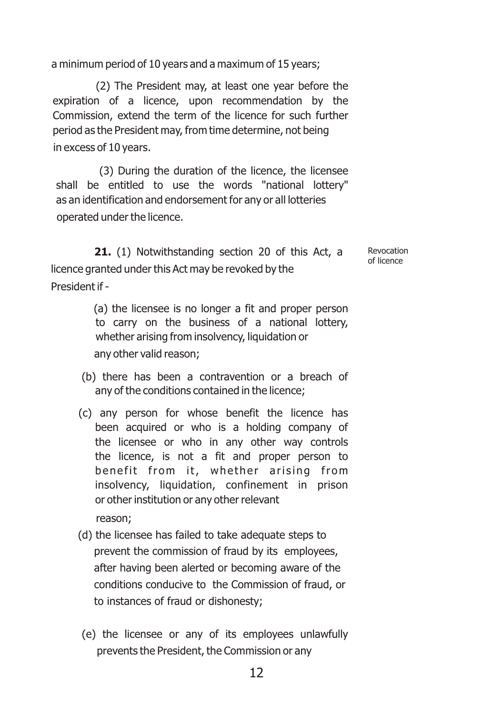a minimum period of 10 years and a maximum of 15 years;

(2) The President may, at least one year before the expiration of a licence, upon recommendation by the Commission, extend the term of the licence for such further period as the President may, from time determine, not being in excess of 10 years.

(3) During the duration of the licence, the licensee shall be entitled to use the words "national lottery" as an identification and endorsement for any or all lotteries operated under the licence.

**21.** (1) Notwithstanding section 20 of this Act, a licence granted under this Act may be revoked by the President if -

> (a) the licensee is no longer a fit and proper person to carry on the business of a national lottery, whether arising from insolvency, liquidation or any other valid reason;

Revocation of licence

- (b) there has been a contravention or a breach of any of the conditions contained in the licence;
- (c) any person for whose benefit the licence has been acquired or who is a holding company of the licensee or who in any other way controls the licence, is not a fit and proper person to benefit from it, whether arising from insolvency, liquidation, confinement in prison or other institution or any other relevant

reason;

- (d) the licensee has failed to take adequate steps to prevent the commission of fraud by its employees, after having been alerted or becoming aware of the conditions conducive to the Commission of fraud, or to instances of fraud or dishonesty;
- (e) the licensee or any of its employees unlawfully prevents the President, the Commission or any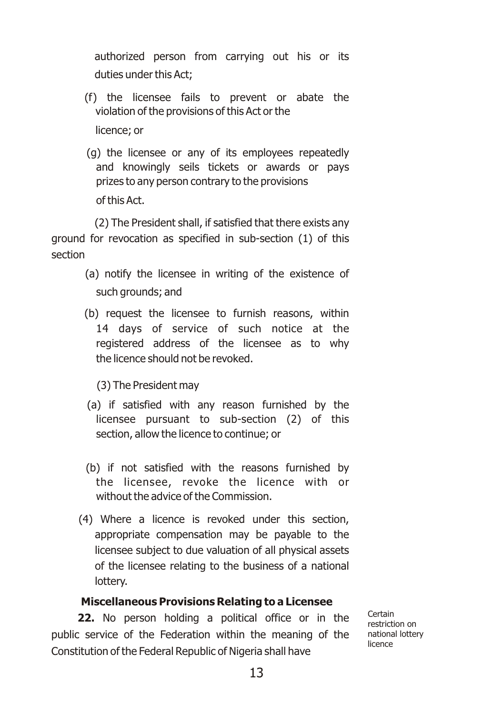authorized person from carrying out his or its duties under this Act;

- (f) the licensee fails to prevent or abate the violation of the provisions of this Act or the licence; or
- (g) the licensee or any of its employees repeatedly and knowingly seils tickets or awards or pays prizes to any person contrary to the provisions of this Act.

(2) The President shall, if satisfied that there exists any ground for revocation as specified in sub-section (1) of this section

- (a) notify the licensee in writing of the existence of such grounds; and
- (b) request the licensee to furnish reasons, within 14 days of service of such notice at the registered address of the licensee as to why the licence should not be revoked.
	- (3) The President may
- (a) if satisfied with any reason furnished by the licensee pursuant to sub-section (2) of this section, allow the licence to continue; or
- (b) if not satisfied with the reasons furnished by the licensee, revoke the licence with or without the advice of the Commission.
- (4) Where a licence is revoked under this section, appropriate compensation may be payable to the licensee subject to due valuation of all physical assets of the licensee relating to the business of a national lottery.

#### **Miscellaneous Provisions Relating to a Licensee**

**22.** No person holding a political office or in the public service of the Federation within the meaning of the Constitution of the Federal Republic of Nigeria shall have

Certain restriction on national lottery licence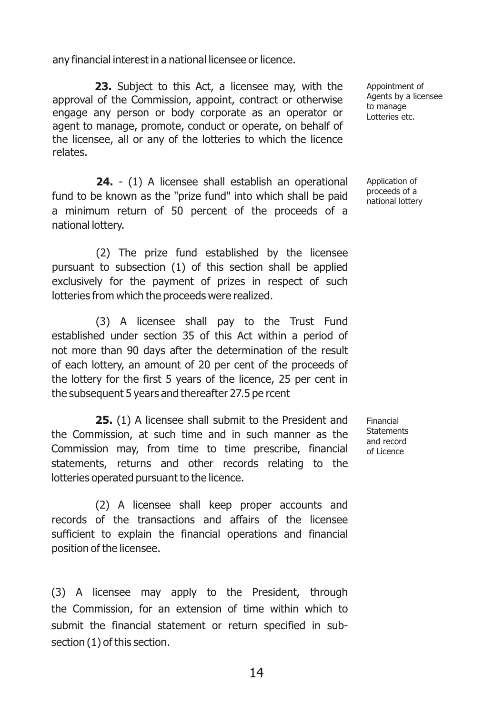any financial interest in a national licensee or licence.

**23.** Subject to this Act, a licensee may, with the approval of the Commission, appoint, contract or otherwise engage any person or body corporate as an operator or agent to manage, promote, conduct or operate, on behalf of the licensee, all or any of the lotteries to which the licence relates.

**24.** - (1) A licensee shall establish an operational fund to be known as the "prize fund" into which shall be paid a minimum return of 50 percent of the proceeds of a national lottery.

(2) The prize fund established by the licensee pursuant to subsection (1) of this section shall be applied exclusively for the payment of prizes in respect of such lotteries from which the proceeds were realized.

(3) A licensee shall pay to the Trust Fund established under section 35 of this Act within a period of not more than 90 days after the determination of the result of each lottery, an amount of 20 per cent of the proceeds of the lottery for the first 5 years of the licence, 25 per cent in the subsequent 5 years and thereafter 27.5 pe rcent

**25.** (1) A licensee shall submit to the President and the Commission, at such time and in such manner as the Commission may, from time to time prescribe, financial statements, returns and other records relating to the lotteries operated pursuant to the licence.

(2) A licensee shall keep proper accounts and records of the transactions and affairs of the licensee sufficient to explain the financial operations and financial position of the licensee.

(3) A licensee may apply to the President, through the Commission, for an extension of time within which to submit the financial statement or return specified in subsection (1) of this section.

Appointment of Agents by a licensee to manage Lotteries etc.

Application of proceeds of a national lottery

Financial **Statements** and record of Licence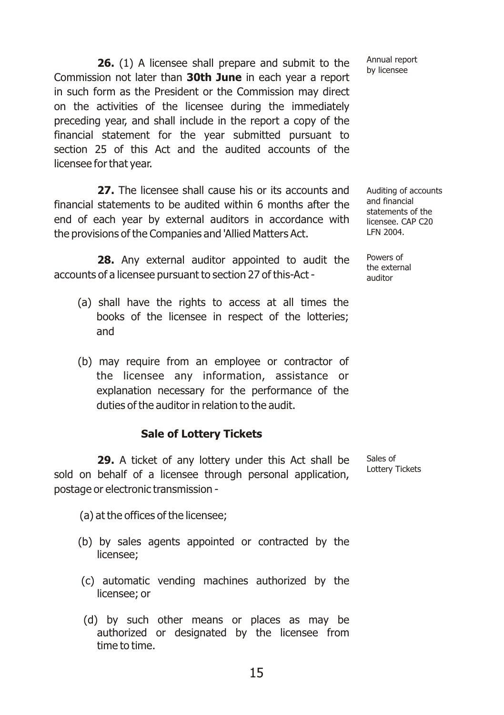**26.** (1) A licensee shall prepare and submit to the Commission not later than **30th June** in each year a report in such form as the President or the Commission may direct on the activities of the licensee during the immediately preceding year, and shall include in the report a copy of the financial statement for the year submitted pursuant to section 25 of this Act and the audited accounts of the licensee for that year.

**27.** The licensee shall cause his or its accounts and financial statements to be audited within 6 months after the end of each year by external auditors in accordance with the provisions of the Companies and 'Allied Matters Act.

**28.** Any external auditor appointed to audit the accounts of a licensee pursuant to section 27 of this-Act -

- (a) shall have the rights to access at all times the books of the licensee in respect of the lotteries; and
- (b) may require from an employee or contractor of the licensee any information, assistance or explanation necessary for the performance of the duties of the auditor in relation to the audit.

#### **Sale of Lottery Tickets**

**29.** A ticket of any lottery under this Act shall be sold on behalf of a licensee through personal application, postage or electronic transmission -

(a) at the offices of the licensee;

- (b) by sales agents appointed or contracted by the licensee;
- (c) automatic vending machines authorized by the licensee; or
- (d) by such other means or places as may be authorized or designated by the licensee from time to time.

Annual report by licensee

Auditing of accounts and financial statements of the licensee. CAP C20 LFN 2004.

Powers of the external auditor

Sales of Lottery Tickets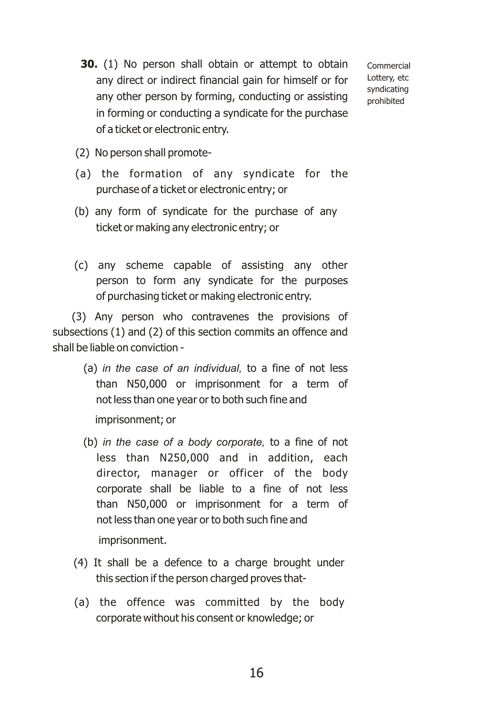**30.** (1) No person shall obtain or attempt to obtain any direct or indirect financial gain for himself or for any other person by forming, conducting or assisting in forming or conducting a syndicate for the purchase of a ticket or electronic entry.

Commercial Lottery, etc syndicating prohibited

- (2) No person shall promote-
- (a) the formation of any syndicate for the purchase of a ticket or electronic entry; or
- (b) any form of syndicate for the purchase of any ticket or making any electronic entry; or
- (c) any scheme capable of assisting any other person to form any syndicate for the purposes of purchasing ticket or making electronic entry.

(3) Any person who contravenes the provisions of subsections (1) and (2) of this section commits an offence and shall be liable on conviction -

> (a) *in the case of an individual,* to a fine of not less than N50,000 or imprisonment for a term of not less than one year or to both such fine and

imprisonment; or

(b) *in the case of a body corporate,* to a fine of not less than N250,000 and in addition, each director, manager or officer of the body corporate shall be liable to a fine of not less than N50,000 or imprisonment for a term of not less than one year or to both such fine and

imprisonment.

- (4) It shall be a defence to a charge brought under this section if the person charged proves that-
- (a) the offence was committed by the body corporate without his consent or knowledge; or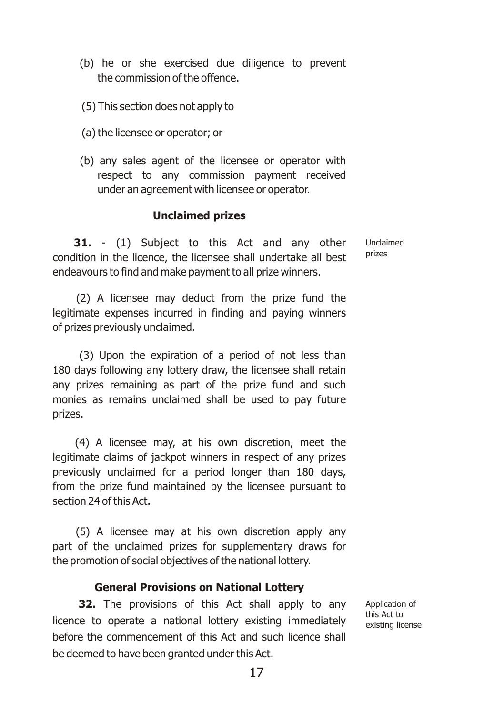- (b) he or she exercised due diligence to prevent the commission of the offence.
- (5) This section does not apply to
- (a) the licensee or operator; or
- (b) any sales agent of the licensee or operator with respect to any commission payment received under an agreement with licensee or operator.

#### **Unclaimed prizes**

**31.** - (1) Subject to this Act and any other condition in the licence, the licensee shall undertake all best endeavours to find and make payment to all prize winners.

Unclaimed prizes

(2) A licensee may deduct from the prize fund the legitimate expenses incurred in finding and paying winners of prizes previously unclaimed.

(3) Upon the expiration of a period of not less than 180 days following any lottery draw, the licensee shall retain any prizes remaining as part of the prize fund and such monies as remains unclaimed shall be used to pay future prizes.

(4) A licensee may, at his own discretion, meet the legitimate claims of jackpot winners in respect of any prizes previously unclaimed for a period longer than 180 days, from the prize fund maintained by the licensee pursuant to section 24 of this Act.

(5) A licensee may at his own discretion apply any part of the unclaimed prizes for supplementary draws for the promotion of social objectives of the national lottery.

#### **General Provisions on National Lottery**

**32.** The provisions of this Act shall apply to any licence to operate a national lottery existing immediately before the commencement of this Act and such licence shall be deemed to have been granted under this Act.

Application of this Act to existing license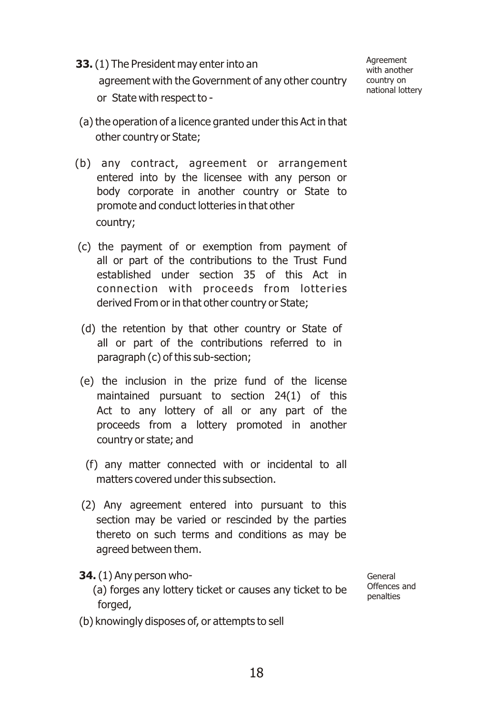**33.**(1) The President may enter into an agreement with the Government of any other country or State with respect to -

Agreement with another country on national lottery

- (a) the operation of a licence granted under this Act in that other country or State;
- (b) any contract, agreement or arrangement entered into by the licensee with any person or body corporate in another country or State to promote and conduct lotteries in that other country;
- (c) the payment of or exemption from payment of all or part of the contributions to the Trust Fund established under section 35 of this Act in connection with proceeds from lotteries derived From or in that other country or State;
- (d) the retention by that other country or State of all or part of the contributions referred to in paragraph (c) of this sub-section;
- (e) the inclusion in the prize fund of the license maintained pursuant to section 24(1) of this Act to any lottery of all or any part of the proceeds from a lottery promoted in another country or state; and
	- (f) any matter connected with or incidental to all matters covered under this subsection.
- (2) Any agreement entered into pursuant to this section may be varied or rescinded by the parties thereto on such terms and conditions as may be agreed between them.
- **34.**(1) Any person who-
	- (a) forges any lottery ticket or causes any ticket to be forged,
- (b) knowingly disposes of, or attempts to sell

General Offences and penalties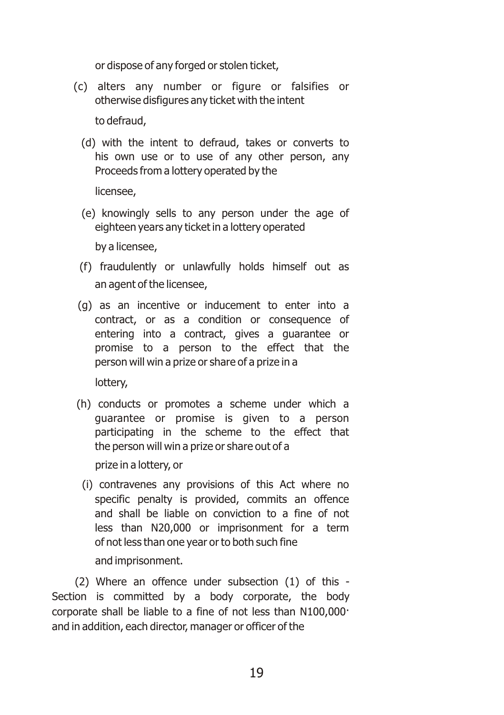or dispose of any forged or stolen ticket,

(c) alters any number or figure or falsifies or otherwise disfigures any ticket with the intent

to defraud,

(d) with the intent to defraud, takes or converts to his own use or to use of any other person, any Proceeds from a lottery operated by the

licensee,

(e) knowingly sells to any person under the age of eighteen years any ticket in a lottery operated

by a licensee,

- (f) fraudulently or unlawfully holds himself out as an agent of the licensee,
- (g) as an incentive or inducement to enter into a contract, or as a condition or consequence of entering into a contract, gives a guarantee or promise to a person to the effect that the person will win a prize or share of a prize in a

lottery,

(h) conducts or promotes a scheme under which a guarantee or promise is given to a person participating in the scheme to the effect that the person will win a prize or share out of a

prize in a lottery, or

(i) contravenes any provisions of this Act where no specific penalty is provided, commits an offence and shall be liable on conviction to a fine of not less than N20,000 or imprisonment for a term of not less than one year or to both such fine

and imprisonment.

(2) Where an offence under subsection (1) of this - Section is committed by a body corporate, the body corporate shall be liable to a fine of not less than N100,000· and in addition, each director, manager or officer of the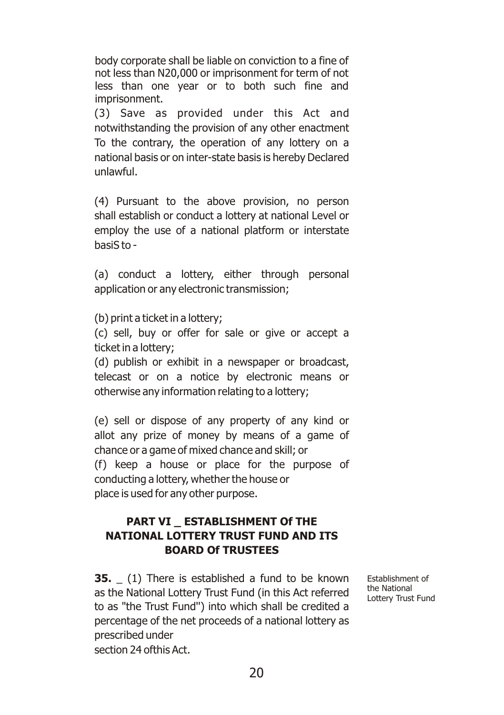body corporate shall be liable on conviction to a fine of not less than N20,000 or imprisonment for term of not less than one year or to both such fine and imprisonment.

(3) Save as provided under this Act and notwithstanding the provision of any other enactment To the contrary, the operation of any lottery on a national basis or on inter-state basis is hereby Declared unlawful.

(4) Pursuant to the above provision, no person shall establish or conduct a lottery at national Level or employ the use of a national platform or interstate basiS to -

(a) conduct a lottery, either through personal application or any electronic transmission;

(b) print a ticket in a lottery;

(c) sell, buy or offer for sale or give or accept a ticket in a lottery;

(d) publish or exhibit in a newspaper or broadcast, telecast or on a notice by electronic means or otherwise any information relating to a lottery;

(e) sell or dispose of any property of any kind or allot any prize of money by means of a game of chance or a game of mixed chance and skill; or (f) keep a house or place for the purpose of conducting a lottery, whether the house or place is used for any other purpose.

#### **PART VI \_ ESTABLISHMENT Of THE NATIONAL LOTTERY TRUST FUND AND ITS BOARD Of TRUSTEES**

**35.** (1) There is established a fund to be known as the National Lottery Trust Fund (in this Act referred to as "the Trust Fund'') into which shall be credited a percentage of the net proceeds of a national lottery as prescribed under

Establishment of the National Lottery Trust Fund

section 24 ofthis Act.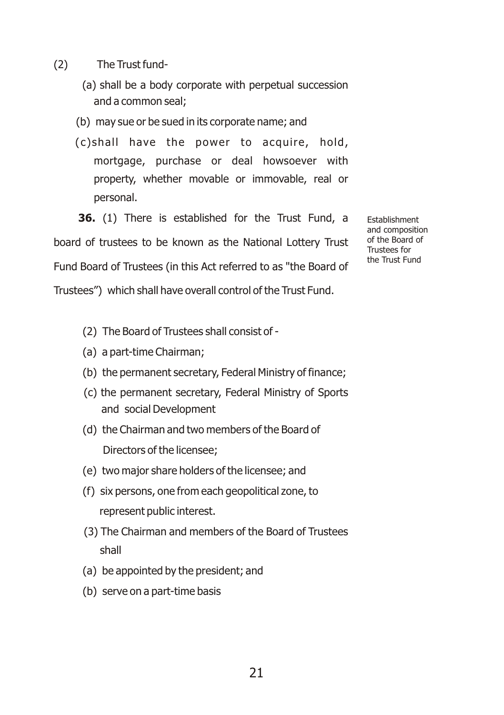- (2) The Trust fund-
	- (a) shall be a body corporate with perpetual succession and a common seal;
	- (b) may sue or be sued in its corporate name; and
	- (c)shall have the power to acquire, hold, mortgage, purchase or deal howsoever with property, whether movable or immovable, real or personal.

**36.** (1) There is established for the Trust Fund, a board of trustees to be known as the National Lottery Trust Fund Board of Trustees (in this Act referred to as "the Board of Trustees") which shall have overall control of the Trust Fund.

Establishment and composition of the Board of Trustees for the Trust Fund

- (2) The Board of Trustees shall consist of -
- (a) a part-time Chairman;
- (b) the permanent secretary, Federal Ministry of finance;
- (c) the permanent secretary, Federal Ministry of Sports and social Development
- (d) the Chairman and two members of the Board of Directors of the licensee;
- (e) two major share holders of the licensee; and
- (f) six persons, one from each geopolitical zone, to represent public interest.
- (3) The Chairman and members of the Board of Trustees shall
- (a) be appointed by the president; and
- (b) serve on a part-time basis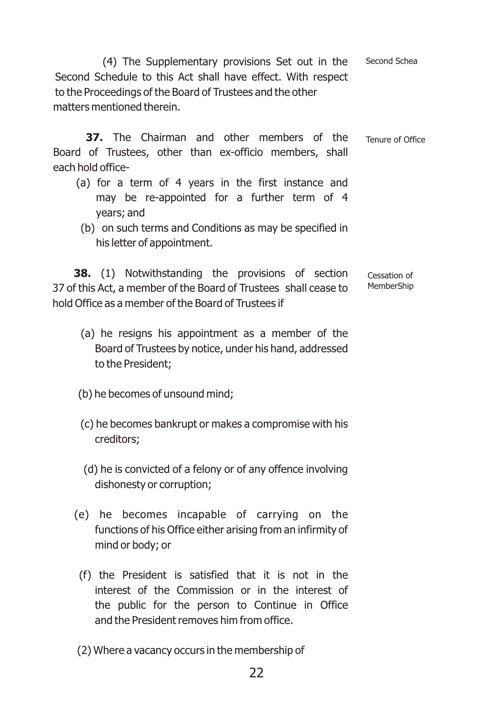(4) The Supplementary provisions Set out in the Second Schedule to this Act shall have effect. With respect to the Proceedings of the Board of Trustees and the other matters mentioned therein. Second Schea

**37.** The Chairman and other members of the Board of Trustees, other than ex-officio members, shall each hold office- Tenure of Office

- (a) for a term of 4 years in the first instance and may be re-appointed for a further term of 4 years; and
	- (b) on such terms and Conditions as may be specified in his letter of appointment.

**38.** (1) Notwithstanding the provisions of section 37 of this Act, a member of the Board of Trustees shall cease to hold Office as a member of the Board of Trustees if Cessation of MemberShip

- (a) he resigns his appointment as a member of the Board of Trustees by notice, under his hand, addressed to the President;
- (b) he becomes of unsound mind;
- (c) he becomes bankrupt or makes a compromise with his creditors;
- (d) he is convicted of a felony or of any offence involving dishonesty or corruption;
- (e) he becomes incapable of carrying on the functions of his Office either arising from an infirmity of mind or body; or
- (f) the President is satisfied that it is not in the interest of the Commission or in the interest of the public for the person to Continue in Office and the President removes him from office.
- (2) Where a vacancy occurs in the membership of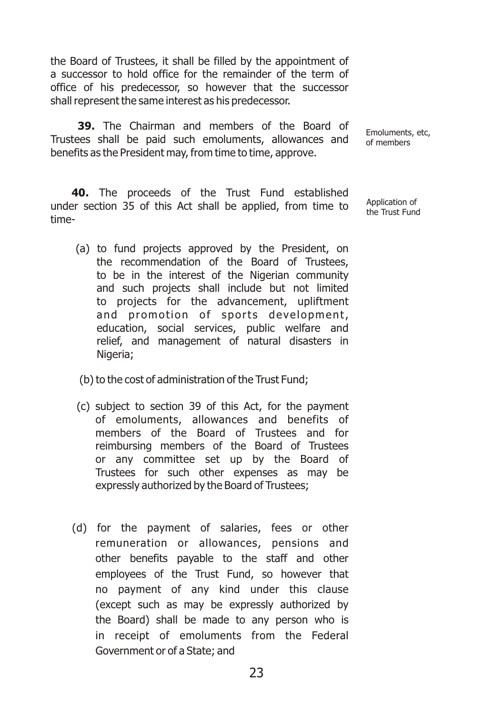the Board of Trustees, it shall be filled by the appointment of a successor to hold office for the remainder of the term of office of his predecessor, so however that the successor shall represent the same interest as his predecessor.

**39.** The Chairman and members of the Board of Trustees shall be paid such emoluments, allowances and benefits as the President may, from time to time, approve.

Emoluments, etc, of members

Application of the Trust Fund

**40.** The proceeds of the Trust Fund established under section 35 of this Act shall be applied, from time to time-

- (a) to fund projects approved by the President, on the recommendation of the Board of Trustees, to be in the interest of the Nigerian community and such projects shall include but not limited to projects for the advancement, upliftment and promotion of sports development, education, social services, public welfare and relief, and management of natural disasters in Nigeria;
- (b) to the cost of administration of the Trust Fund;
- (c) subject to section 39 of this Act, for the payment of emoluments, allowances and benefits of members of the Board of Trustees and for reimbursing members of the Board of Trustees or any committee set up by the Board of Trustees for such other expenses as may be expressly authorized by the Board of Trustees;
- (d) for the payment of salaries, fees or other remuneration or allowances, pensions and other benefits payable to the staff and other employees of the Trust Fund, so however that no payment of any kind under this clause (except such as may be expressly authorized by the Board) shall be made to any person who is in receipt of emoluments from the Federal Government or of a State; and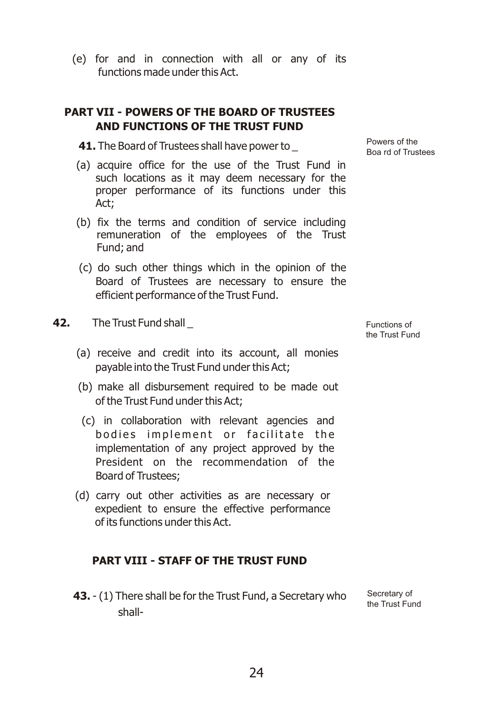(e) for and in connection with all or any of its functions made under this Act.

#### **PART VII - POWERS OF THE BOARD OF TRUSTEES AND FUNCTIONS OF THE TRUST FUND**

**41.** The Board of Trustees shall have power to

- (a) acquire office for the use of the Trust Fund in such locations as it may deem necessary for the proper performance of its functions under this Act;
- (b) fix the terms and condition of service including remuneration of the employees of the Trust Fund; and
- (c) do such other things which in the opinion of the Board of Trustees are necessary to ensure the efficient performance of the Trust Fund.
- **42.** The Trust Fund shall \_
	- (a) receive and credit into its account, all monies payable into the Trust Fund under this Act;
	- (b) make all disbursement required to be made out of the Trust Fund under this Act;
	- (c) in collaboration with relevant agencies and bodies implement or facilitate the implementation of any project approved by the President on the recommendation of the Board of Trustees;
	- (d) carry out other activities as are necessary or expedient to ensure the effective performance of its functions under this Act.

#### **PART VIII - STAFF OF THE TRUST FUND**

**43.** - (1) There shall be for the Trust Fund, a Secretary who shall-Secretary of the Trust Fund

Powers of the Boa rd of Trustees

Functions of the Trust Fund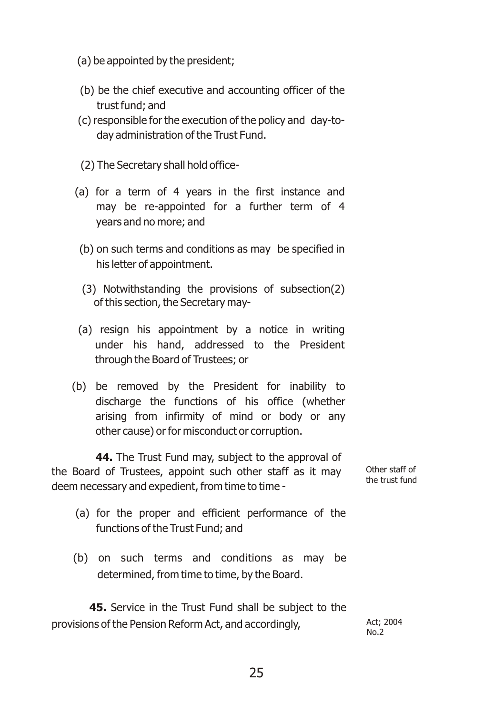- (a) be appointed by the president;
- (b) be the chief executive and accounting officer of the trust fund; and
- (c) responsible for the execution of the policy and day-today administration of the Trust Fund.
- (2) The Secretary shall hold office-
- (a) for a term of 4 years in the first instance and may be re-appointed for a further term of 4 years and no more; and
	- (b) on such terms and conditions as may be specified in his letter of appointment.
	- (3) Notwithstanding the provisions of subsection(2) of this section, the Secretary may-
- (a) resign his appointment by a notice in writing under his hand, addressed to the President through the Board of Trustees; or
- (b) be removed by the President for inability to discharge the functions of his office (whether arising from infirmity of mind or body or any other cause) or for misconduct or corruption.

**44.** The Trust Fund may, subject to the approval of the Board of Trustees, appoint such other staff as it may deem necessary and expedient, from time to time -

Other staff of the trust fund

- (a) for the proper and efficient performance of the functions of the Trust Fund; and
- (b) on such terms and conditions as may be determined, from time to time, by the Board.

**45.** Service in the Trust Fund shall be subject to the provisions of the Pension Reform Act, and accordingly, Act; 2004

 $No.2$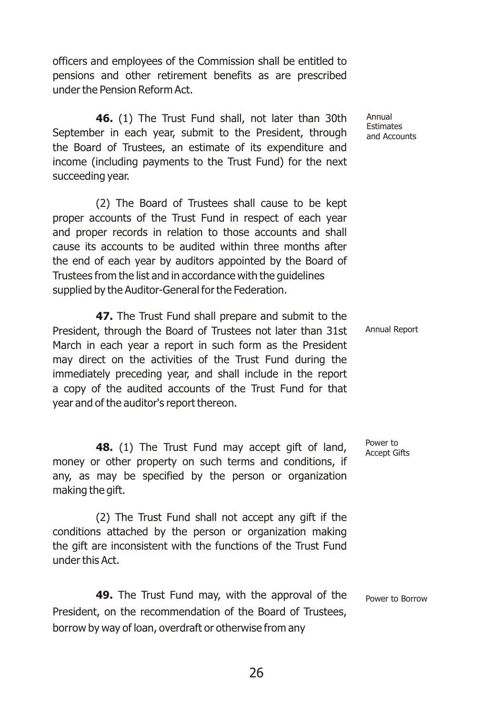officers and employees of the Commission shall be entitled to pensions and other retirement benefits as are prescribed under the Pension Reform Act.

**46.** (1) The Trust Fund shall, not later than 30th September in each year, submit to the President, through the Board of Trustees, an estimate of its expenditure and income (including payments to the Trust Fund) for the next succeeding year.

(2) The Board of Trustees shall cause to be kept proper accounts of the Trust Fund in respect of each year and proper records in relation to those accounts and shall cause its accounts to be audited within three months after the end of each year by auditors appointed by the Board of Trustees from the list and in accordance with the guidelines supplied by the Auditor-General for the Federation.

**47.** The Trust Fund shall prepare and submit to the President, through the Board of Trustees not later than 31st March in each year a report in such form as the President may direct on the activities of the Trust Fund during the immediately preceding year, and shall include in the report a copy of the audited accounts of the Trust Fund for that year and of the auditor's report thereon.

**48.** (1) The Trust Fund may accept gift of land, money or other property on such terms and conditions, if any, as may be specified by the person or organization making the gift.

(2) The Trust Fund shall not accept any gift if the conditions attached by the person or organization making the gift are inconsistent with the functions of the Trust Fund under this Act.

**49.** The Trust Fund may, with the approval of the President, on the recommendation of the Board of Trustees, borrow by way of loan, overdraft or otherwise from any Power to Borrow

Annual Estimates and Accounts

Annual Report

Power to Accept Gifts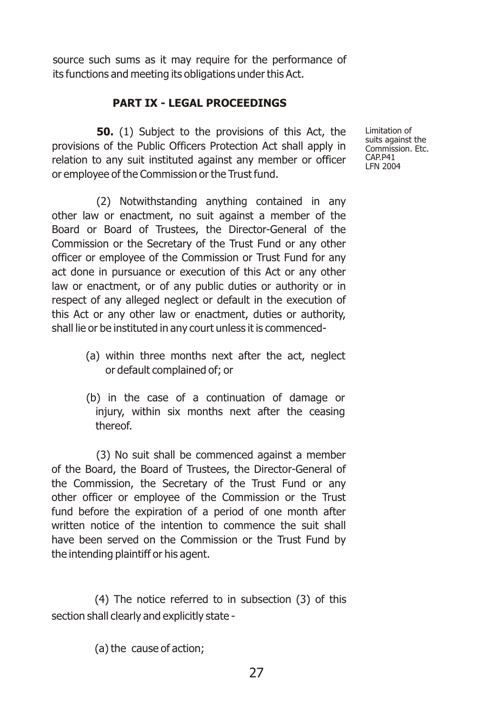source such sums as it may require for the performance of its functions and meeting its obligations under this Act.

#### **PART IX - LEGAL PROCEEDINGS**

**50.** (1) Subject to the provisions of this Act, the provisions of the Public Officers Protection Act shall apply in relation to any suit instituted against any member or officer or employee of the Commission or the Trust fund.

(2) Notwithstanding anything contained in any other law or enactment, no suit against a member of the Board or Board of Trustees, the Director-General of the Commission or the Secretary of the Trust Fund or any other officer or employee of the Commission or Trust Fund for any act done in pursuance or execution of this Act or any other law or enactment, or of any public duties or authority or in respect of any alleged neglect or default in the execution of this Act or any other law or enactment, duties or authority, shall lie or be instituted in any court unless it is commenced-

- (a) within three months next after the act, neglect or default complained of; or
- (b) in the case of a continuation of damage or injury, within six months next after the ceasing thereof.

(3) No suit shall be commenced against a member of the Board, the Board of Trustees, the Director-General of the Commission, the Secretary of the Trust Fund or any other officer or employee of the Commission or the Trust fund before the expiration of a period of one month after written notice of the intention to commence the suit shall have been served on the Commission or the Trust Fund by the intending plaintiff or his agent.

(4) The notice referred to in subsection (3) of this section shall clearly and explicitly state -

(a) the cause of action;

Limitation of suits against the Commission. Ftc. CAP.P41 LFN 2004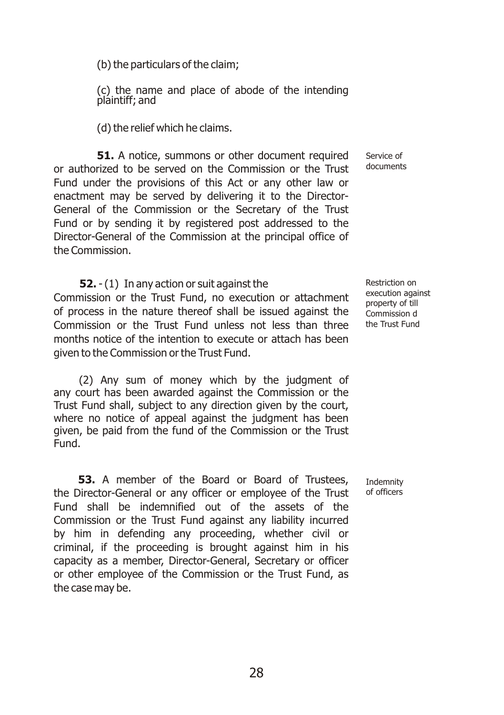(b) the particulars of the claim;

(c) the name and place of abode of the intending plaintiff; and

(d) the relief which he claims.

**51.** A notice, summons or other document required or authorized to be served on the Commission or the Trust Fund under the provisions of this Act or any other law or enactment may be served by delivering it to the Director-General of the Commission or the Secretary of the Trust Fund or by sending it by registered post addressed to the Director-General of the Commission at the principal office of the Commission.

 **52.** - (1) In any action or suit against the Commission or the Trust Fund, no execution or attachment of process in the nature thereof shall be issued against the Commission or the Trust Fund unless not less than three months notice of the intention to execute or attach has been given to the Commission or the Trust Fund.

(2) Any sum of money which by the judgment of any court has been awarded against the Commission or the Trust Fund shall, subject to any direction given by the court, where no notice of appeal against the judgment has been given, be paid from the fund of the Commission or the Trust Fund.

**53.** A member of the Board or Board of Trustees, the Director-General or any officer or employee of the Trust Fund shall be indemnified out of the assets of the Commission or the Trust Fund against any liability incurred by him in defending any proceeding, whether civil or criminal, if the proceeding is brought against him in his capacity as a member, Director-General, Secretary or officer or other employee of the Commission or the Trust Fund, as the case may be.

Service of documents

Restriction on execution against property of till Commission d the Trust Fund

Indemnity of officers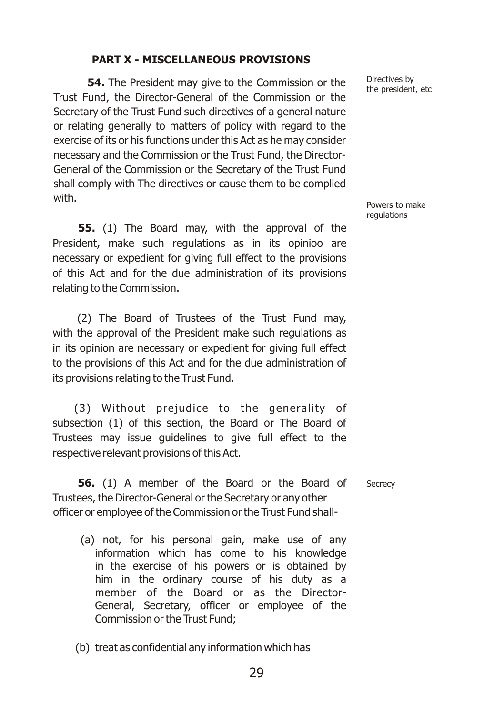#### **PART X - MISCELLANEOUS PROVISIONS**

**54.** The President may give to the Commission or the Trust Fund, the Director-General of the Commission or the Secretary of the Trust Fund such directives of a general nature or relating generally to matters of policy with regard to the exercise of its or his functions under this Act as he may consider necessary and the Commission or the Trust Fund, the Director-General of the Commission or the Secretary of the Trust Fund shall comply with The directives or cause them to be complied with.

**55.** (1) The Board may, with the approval of the President, make such regulations as in its opinioo are necessary or expedient for giving full effect to the provisions of this Act and for the due administration of its provisions relating to the Commission.

(2) The Board of Trustees of the Trust Fund may, with the approval of the President make such regulations as in its opinion are necessary or expedient for giving full effect to the provisions of this Act and for the due administration of its provisions relating to the Trust Fund.

(3) Without prejudice to the generality of subsection (1) of this section, the Board or The Board of Trustees may issue guidelines to give full effect to the respective relevant provisions of this Act.

**56.** (1) A member of the Board or the Board of Trustees, the Director-General or the Secretary or any other officer or employee of the Commission or the Trust Fund shall-

- (a) not, for his personal gain, make use of any information which has come to his knowledge in the exercise of his powers or is obtained by him in the ordinary course of his duty as a member of the Board or as the Director-General, Secretary, officer or employee of the Commission or the Trust Fund;
- (b) treat as confidential any information which has

Directives by the president, etc

Powers to make regulations

**Secrecy**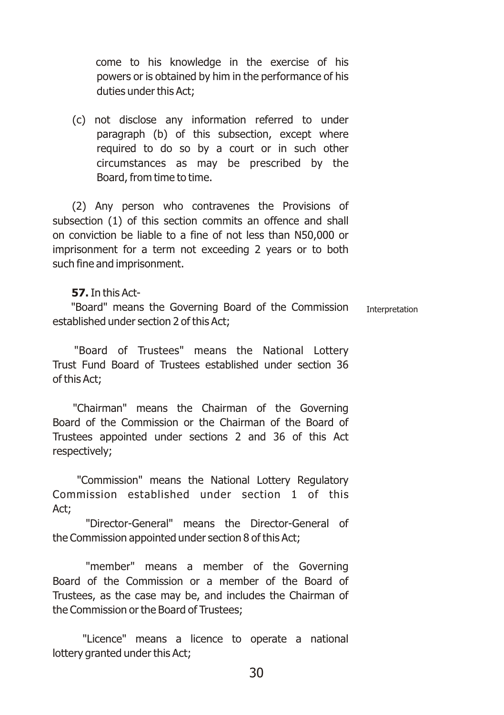come to his knowledge in the exercise of his powers or is obtained by him in the performance of his duties under this Act;

(c) not disclose any information referred to under paragraph (b) of this subsection, except where required to do so by a court or in such other circumstances as may be prescribed by the Board, from time to time.

(2) Any person who contravenes the Provisions of subsection (1) of this section commits an offence and shall on conviction be liable to a fine of not less than N50,000 or imprisonment for a term not exceeding 2 years or to both such fine and imprisonment.

#### **57.**In this Act-

"Board" means the Governing Board of the Commission established under section 2 of this Act; Interpretation

"Board of Trustees" means the National Lottery Trust Fund Board of Trustees established under section 36 of this Act;

"Chairman" means the Chairman of the Governing Board of the Commission or the Chairman of the Board of Trustees appointed under sections 2 and 36 of this Act respectively;

"Commission" means the National Lottery Regulatory Commission established under section 1 of this Act;

"Director-General" means the Director-General of the Commission appointed under section 8 of this Act;

"member" means a member of the Governing Board of the Commission or a member of the Board of Trustees, as the case may be, and includes the Chairman of the Commission or the Board of Trustees;

"Licence" means a licence to operate a national lottery granted under this Act;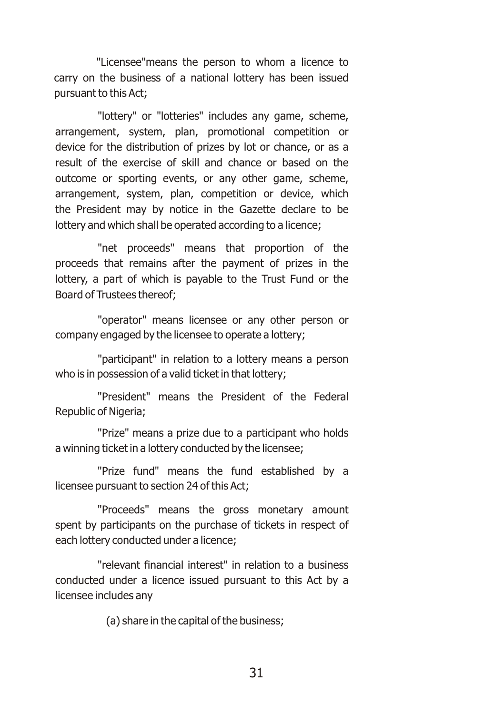"Licensee"means the person to whom a licence to carry on the business of a national lottery has been issued pursuant to this Act;

"lottery" or "lotteries" includes any game, scheme, arrangement, system, plan, promotional competition or device for the distribution of prizes by lot or chance, or as a result of the exercise of skill and chance or based on the outcome or sporting events, or any other game, scheme, arrangement, system, plan, competition or device, which the President may by notice in the Gazette declare to be lottery and which shall be operated according to a licence;

"net proceeds" means that proportion of the proceeds that remains after the payment of prizes in the lottery, a part of which is payable to the Trust Fund or the Board of Trustees thereof;

"operator" means licensee or any other person or company engaged by the licensee to operate a lottery;

"participant" in relation to a lottery means a person who is in possession of a valid ticket in that lottery;

"President" means the President of the Federal Republic of Nigeria;

"Prize" means a prize due to a participant who holds a winning ticket in a lottery conducted by the licensee;

"Prize fund" means the fund established by a licensee pursuant to section 24 of this Act;

"Proceeds" means the gross monetary amount spent by participants on the purchase of tickets in respect of each lottery conducted under a licence;

"relevant financial interest" in relation to a business conducted under a licence issued pursuant to this Act by a licensee includes any

(a) share in the capital of the business;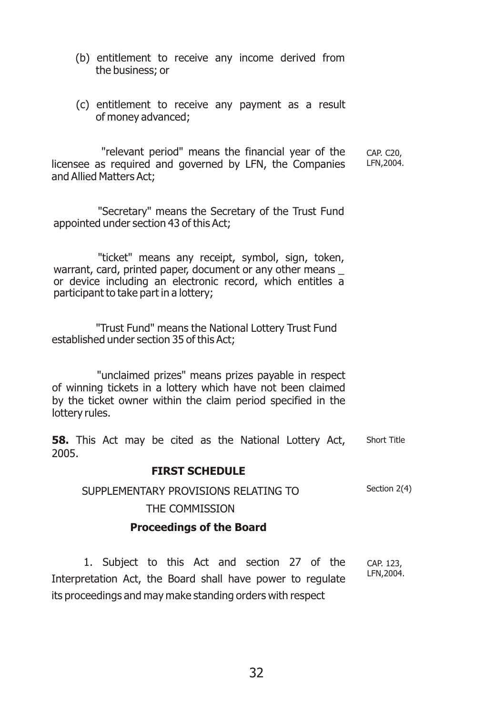- (b) entitlement to receive any income derived from the business; or
- (c) entitlement to receive any payment as a result of money advanced;

"relevant period" means the financial year of the licensee as required and governed by LFN, the Companies and Allied Matters Act; CAP. C20, LFN,2004.

"Secretary" means the Secretary of the Trust Fund appointed under section 43 of this Act;

"ticket" means any receipt, symbol, sign, token, warrant, card, printed paper, document or any other means \_ or device including an electronic record, which entitles a participant to take part in a lottery;

"Trust Fund" means the National Lottery Trust Fund established under section 35 of this Act;

"unclaimed prizes" means prizes payable in respect of winning tickets in a lottery which have not been claimed by the ticket owner within the claim period specified in the lottery rules.

**58.** This Act may be cited as the National Lottery Act, 2005. Short Title

#### **FIRST SCHEDULE**

SUPPLEMENTARY PROVISIONS RELATING TO Section 2(4)

THE COMMISSION

#### **Proceedings of the Board**

1. Subject to this Act and section 27 of the Interpretation Act, the Board shall have power to regulate its proceedings and may make standing orders with respect CAP. 123, LFN,2004.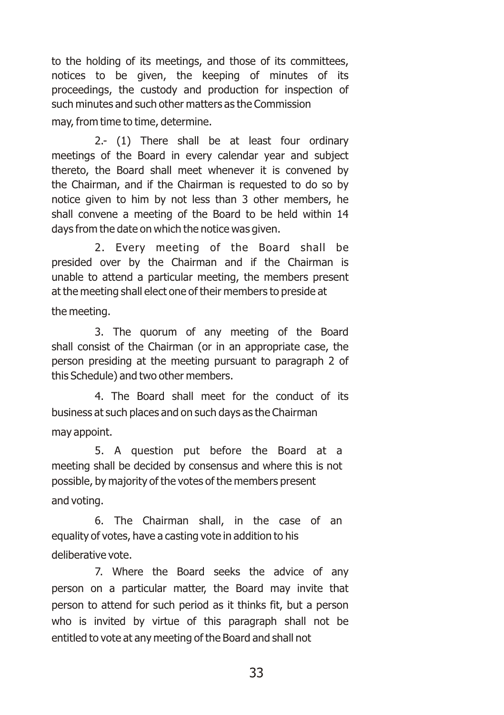to the holding of its meetings, and those of its committees, notices to be given, the keeping of minutes of its proceedings, the custody and production for inspection of such minutes and such other matters as the Commission may, from time to time, determine.

2.- (1) There shall be at least four ordinary meetings of the Board in every calendar year and subject thereto, the Board shall meet whenever it is convened by the Chairman, and if the Chairman is requested to do so by notice given to him by not less than 3 other members, he shall convene a meeting of the Board to be held within 14 days from the date on which the notice was given.

2. Every meeting of the Board shall be presided over by the Chairman and if the Chairman is unable to attend a particular meeting, the members present at the meeting shall elect one of their members to preside at

the meeting.

3. The quorum of any meeting of the Board shall consist of the Chairman (or in an appropriate case, the person presiding at the meeting pursuant to paragraph 2 of this Schedule) and two other members.

4. The Board shall meet for the conduct of its business at such places and on such days as the Chairman may appoint.

5. A question put before the Board at a meeting shall be decided by consensus and where this is not possible, by majority of the votes of the members present and voting.

6. The Chairman shall, in the case of an equality of votes, have a casting vote in addition to his deliberative vote.

7. Where the Board seeks the advice of any person on a particular matter, the Board may invite that person to attend for such period as it thinks fit, but a person who is invited by virtue of this paragraph shall not be entitled to vote at any meeting of the Board and shall not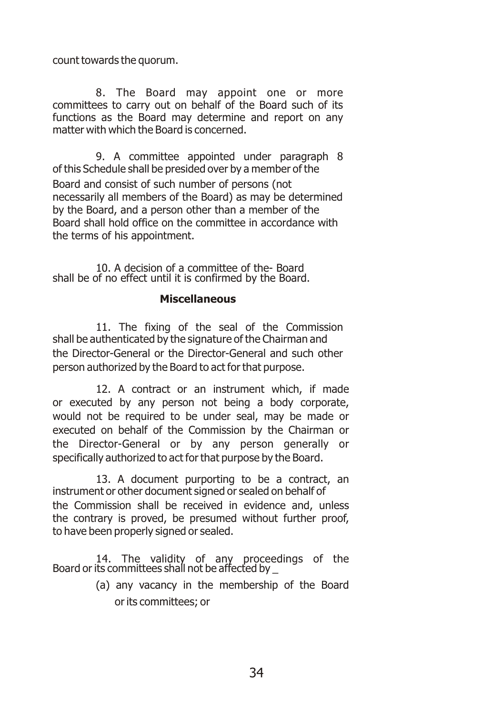count towards the quorum.

8. The Board may appoint one or more committees to carry out on behalf of the Board such of its functions as the Board may determine and report on any matter with which the Board is concerned.

9. A committee appointed under paragraph 8 of this Schedule shall be presided over by a member of the Board and consist of such number of persons (not necessarily all members of the Board) as may be determined by the Board, and a person other than a member of the Board shall hold office on the committee in accordance with the terms of his appointment.

10. A decision of a committee of the- Board shall be of no effect until it is confirmed by the Board.

#### **Miscellaneous**

11. The fixing of the seal of the Commission shall be authenticated by the signature of the Chairman and the Director-General or the Director-General and such other person authorized by the Board to act for that purpose.

12. A contract or an instrument which, if made or executed by any person not being a body corporate, would not be required to be under seal, may be made or executed on behalf of the Commission by the Chairman or the Director-General or by any person generally or specifically authorized to act for that purpose by the Board.

13. A document purporting to be a contract, an instrument or other document signed or sealed on behalf of the Commission shall be received in evidence and, unless the contrary is proved, be presumed without further proof, to have been properly signed or sealed.

14. The validity of any proceedings of the Board or its committees shall not be affected by \_

(a) any vacancy in the membership of the Board or its committees; or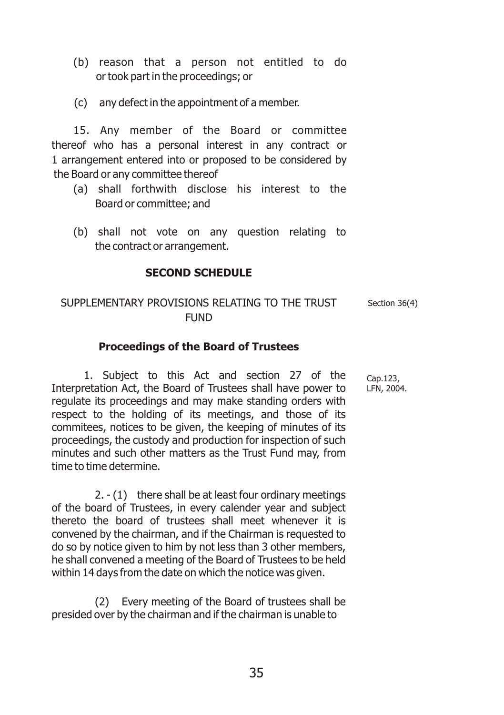- (b) reason that a person not entitled to do or took part in the proceedings; or
- (c) any defect in the appointment of a member.

15. Any member of the Board or committee thereof who has a personal interest in any contract or 1 arrangement entered into or proposed to be considered by the Board or any committee thereof

- (a) shall forthwith disclose his interest to the Board or committee; and
- (b) shall not vote on any question relating to the contract or arrangement.

#### **SECOND SCHEDULE**

#### SUPPLEMENTARY PROVISIONS RELATING TO THE TRUST **FUND** Section 36(4)

#### **Proceedings of the Board of Trustees**

1. Subject to this Act and section 27 of the Interpretation Act, the Board of Trustees shall have power to regulate its proceedings and may make standing orders with respect to the holding of its meetings, and those of its commitees, notices to be given, the keeping of minutes of its proceedings, the custody and production for inspection of such minutes and such other matters as the Trust Fund may, from time to time determine.

2. - (1) there shall be at least four ordinary meetings of the board of Trustees, in every calender year and subject thereto the board of trustees shall meet whenever it is convened by the chairman, and if the Chairman is requested to do so by notice given to him by not less than 3 other members, he shall convened a meeting of the Board of Trustees to be held within 14 days from the date on which the notice was given.

(2) Every meeting of the Board of trustees shall be presided over by the chairman and if the chairman is unable to

Cap.123, LFN, 2004.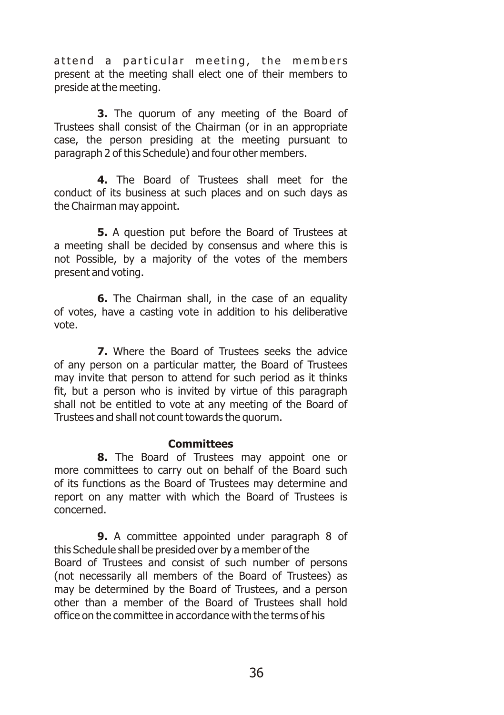attend a particular meeting, the members present at the meeting shall elect one of their members to preside at the meeting.

**3.** The quorum of any meeting of the Board of Trustees shall consist of the Chairman (or in an appropriate case, the person presiding at the meeting pursuant to paragraph 2 of this Schedule) and four other members.

**4.** The Board of Trustees shall meet for the conduct of its business at such places and on such days as the Chairman may appoint.

**5.** A question put before the Board of Trustees at a meeting shall be decided by consensus and where this is not Possible, by a majority of the votes of the members present and voting.

**6.** The Chairman shall, in the case of an equality of votes, have a casting vote in addition to his deliberative vote.

**7.** Where the Board of Trustees seeks the advice of any person on a particular matter, the Board of Trustees may invite that person to attend for such period as it thinks fit, but a person who is invited by virtue of this paragraph shall not be entitled to vote at any meeting of the Board of Trustees and shall not count towards the quorum.

#### **Committees**

**8.** The Board of Trustees may appoint one or more committees to carry out on behalf of the Board such of its functions as the Board of Trustees may determine and report on any matter with which the Board of Trustees is concerned.

**9.** A committee appointed under paragraph 8 of this Schedule shall be presided over by a member of the Board of Trustees and consist of such number of persons (not necessarily all members of the Board of Trustees) as may be determined by the Board of Trustees, and a person other than a member of the Board of Trustees shall hold office on the committee in accordance with the terms of his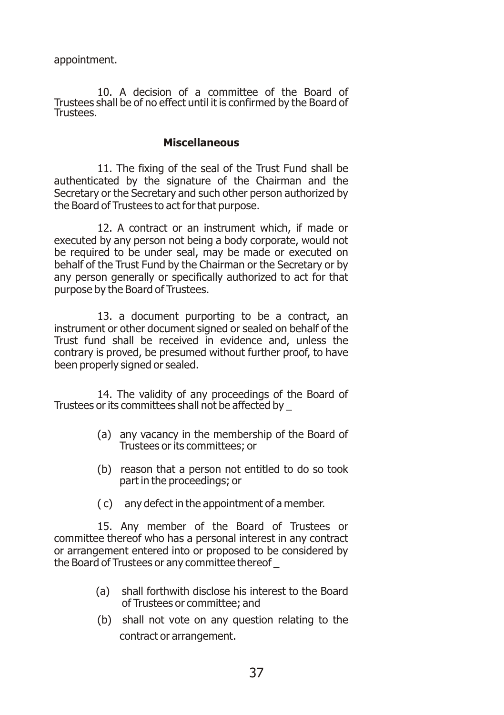appointment.

10. A decision of a committee of the Board of Trustees shall be of no effect until it is confirmed by the Board of Trustees.

#### **Miscellaneous**

11. The fixing of the seal of the Trust Fund shall be authenticated by the signature of the Chairman and the Secretary or the Secretary and such other person authorized by the Board of Trustees to act for that purpose.

12. A contract or an instrument which, if made or executed by any person not being a body corporate, would not be required to be under seal, may be made or executed on behalf of the Trust Fund by the Chairman or the Secretary or by any person generally or specifically authorized to act for that purpose by the Board of Trustees.

13. a document purporting to be a contract, an instrument or other document signed or sealed on behalf of the Trust fund shall be received in evidence and, unless the contrary is proved, be presumed without further proof, to have been properly signed or sealed.

14. The validity of any proceedings of the Board of Trustees or its committees shall not be affected by \_

- (a) any vacancy in the membership of the Board of Trustees or its committees; or
- (b) reason that a person not entitled to do so took part in the proceedings; or
- ( c) any defect in the appointment of a member.

15. Any member of the Board of Trustees or committee thereof who has a personal interest in any contract or arrangement entered into or proposed to be considered by the Board of Trustees or any committee thereof \_

- (a) shall forthwith disclose his interest to the Board of Trustees or committee; and
- (b) shall not vote on any question relating to the contract or arrangement.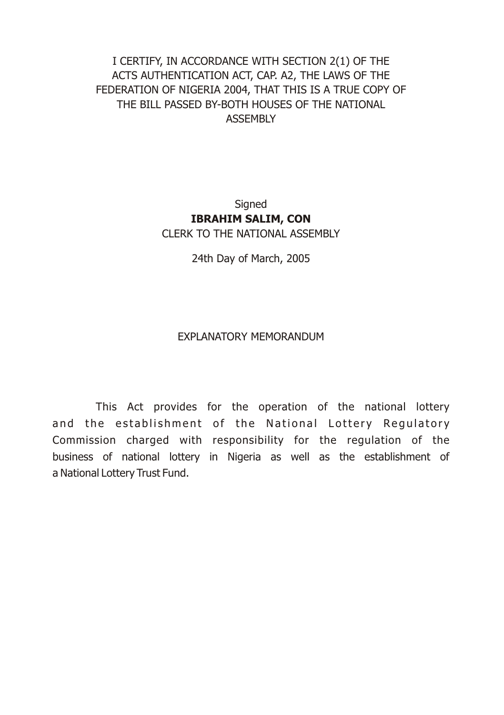#### I CERTIFY, IN ACCORDANCE WITH SECTION 2(1) OF THE ACTS AUTHENTICATION ACT, CAP. A2, THE LAWS OF THE FEDERATION OF NIGERIA 2004, THAT THIS IS A TRUE COPY OF THE BILL PASSED BY-BOTH HOUSES OF THE NATIONAL ASSEMBLY

**Signed IBRAHIM SALIM, CON**  CLERK TO THE NATIONAL ASSEMBLY

24th Day of March, 2005

#### EXPLANATORY MEMORANDUM

This Act provides for the operation of the national lottery and the establishment of the National Lottery Regulatory Commission charged with responsibility for the regulation of the business of national lottery in Nigeria as well as the establishment of a National Lottery Trust Fund.